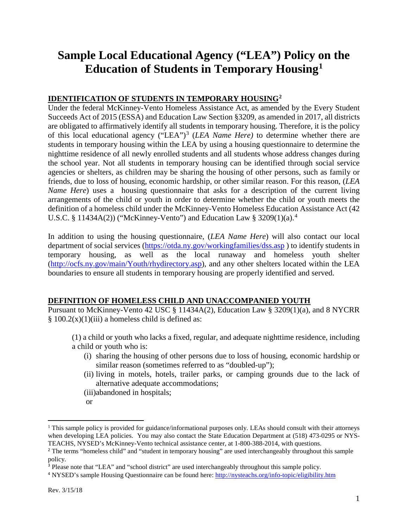# **Sample Local Educational Agency ("LEA") Policy on the Education of Students in Temporary Housing[1](#page-0-0)**

#### **IDENTIFICATION OF STUDENTS IN TEMPORARY HOUSING[2](#page-0-1)**

Under the federal McKinney-Vento Homeless Assistance Act, as amended by the Every Student Succeeds Act of 2015 (ESSA) and Education Law Section §3209, as amended in 2017, all districts are obligated to affirmatively identify all students in temporary housing. Therefore, it is the policy of this local educational agency ("LEA")[3](#page-0-2) (*LEA Name Here)* to determine whether there are students in temporary housing within the LEA by using a housing questionnaire to determine the nighttime residence of all newly enrolled students and all students whose address changes during the school year. Not all students in temporary housing can be identified through social service agencies or shelters, as children may be sharing the housing of other persons, such as family or friends, due to loss of housing, economic hardship, or other similar reason. For this reason, (*LEA Name Here*) uses a housing questionnaire that asks for a description of the current living arrangements of the child or youth in order to determine whether the child or youth meets the definition of a homeless child under the McKinney-Vento Homeless Education Assistance Act (42 U.S.C. § 11434A(2)) ("McKinney-Vento") and Education Law § 3209(1)(a).[4](#page-0-3)

In addition to using the housing questionnaire, (*LEA Name Here*) will also contact our local department of social services [\(https://otda.ny.gov/workingfamilies/dss.asp](https://otda.ny.gov/workingfamilies/dss.asp) ) to identify students in temporary housing, as well as the local runaway and homeless youth shelter (http://ocfs.ny.gov/main/Youth/rhydirectory.asp), and any other shelters located within the LEA boundaries to ensure all students in temporary housing are properly identified and served.

#### **DEFINITION OF HOMELESS CHILD AND UNACCOMPANIED YOUTH**

Pursuant to McKinney-Vento 42 USC § 11434A(2), Education Law § 3209(1)(a), and 8 NYCRR  $§ 100.2(x)(1)(iii)$  a homeless child is defined as:

(1) a child or youth who lacks a fixed, regular, and adequate nighttime residence, including a child or youth who is:

- (i) sharing the housing of other persons due to loss of housing, economic hardship or similar reason (sometimes referred to as "doubled-up");
- (ii) living in motels, hotels, trailer parks, or camping grounds due to the lack of alternative adequate accommodations;
- (iii)abandoned in hospitals;
- or

<span id="page-0-0"></span><sup>&</sup>lt;sup>1</sup> This sample policy is provided for guidance/informational purposes only. LEAs should consult with their attorneys when developing LEA policies. You may also contact the State Education Department at (518) 473-0295 or NYS-TEACHS, NYSED's McKinney-Vento technical assistance center, at 1-800-388-2014, with questions.

<span id="page-0-1"></span><sup>&</sup>lt;sup>2</sup> The terms "homeless child" and "student in temporary housing" are used interchangeably throughout this sample policy.

<span id="page-0-2"></span><sup>3</sup> Please note that "LEA" and "school district" are used interchangeably throughout this sample policy.

<span id="page-0-3"></span><sup>4</sup> NYSED's sample Housing Questionnaire can be found here:<http://nysteachs.org/info-topic/eligibility.htm>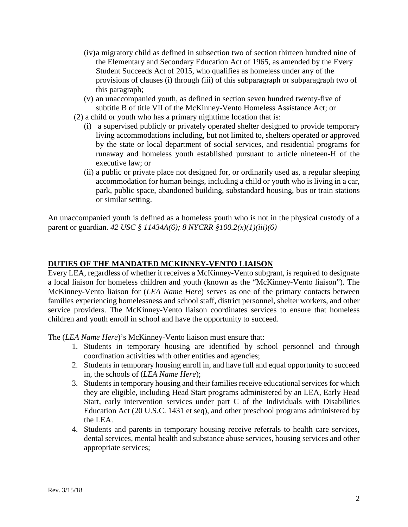- (iv)a migratory child as defined in subsection two of section thirteen hundred nine of the Elementary and Secondary Education Act of 1965, as amended by the Every Student Succeeds Act of 2015, who qualifies as homeless under any of the provisions of clauses (i) through (iii) of this subparagraph or subparagraph two of this paragraph;
- (v) an unaccompanied youth, as defined in section seven hundred twenty-five of subtitle B of title VII of the McKinney-Vento Homeless Assistance Act; or
- (2) a child or youth who has a primary nighttime location that is:
	- (i) a supervised publicly or privately operated shelter designed to provide temporary living accommodations including, but not limited to, shelters operated or approved by the state or local department of social services, and residential programs for runaway and homeless youth established pursuant to article nineteen-H of the executive law; or
	- (ii) a public or private place not designed for, or ordinarily used as, a regular sleeping accommodation for human beings, including a child or youth who is living in a car, park, public space, abandoned building, substandard housing, bus or train stations or similar setting.

An unaccompanied youth is defined as a homeless youth who is not in the physical custody of a parent or guardian. *42 USC § 11434A(6); 8 NYCRR §100.2(x)(1)(iii)(6)*

#### **DUTIES OF THE MANDATED MCKINNEY-VENTO LIAISON**

Every LEA, regardless of whether it receives a McKinney-Vento subgrant, is required to designate a local liaison for homeless children and youth (known as the "McKinney-Vento liaison"). The McKinney-Vento liaison for (*LEA Name Here*) serves as one of the primary contacts between families experiencing homelessness and school staff, district personnel, shelter workers, and other service providers. The McKinney-Vento liaison coordinates services to ensure that homeless children and youth enroll in school and have the opportunity to succeed.

The (*LEA Name Here*)'s McKinney-Vento liaison must ensure that:

- 1. Students in temporary housing are identified by school personnel and through coordination activities with other entities and agencies;
- 2. Students in temporary housing enroll in, and have full and equal opportunity to succeed in, the schools of (*LEA Name Here*);
- 3. Students in temporary housing and their families receive educational services for which they are eligible, including Head Start programs administered by an LEA, Early Head Start, early intervention services under part C of the Individuals with Disabilities Education Act (20 U.S.C. 1431 et seq), and other preschool programs administered by the LEA.
- 4. Students and parents in temporary housing receive referrals to health care services, dental services, mental health and substance abuse services, housing services and other appropriate services;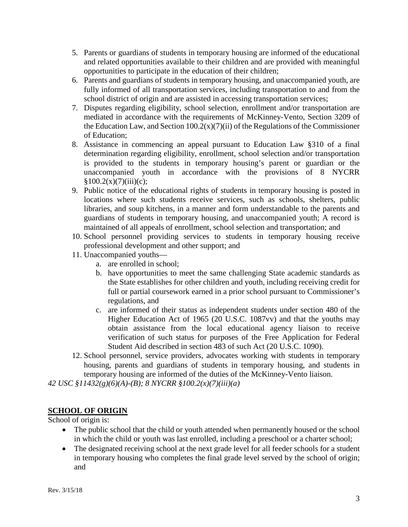- 5. Parents or guardians of students in temporary housing are informed of the educational and related opportunities available to their children and are provided with meaningful opportunities to participate in the education of their children;
- 6. Parents and guardians of students in temporary housing, and unaccompanied youth, are fully informed of all transportation services, including transportation to and from the school district of origin and are assisted in accessing transportation services;
- 7. Disputes regarding eligibility, school selection, enrollment and/or transportation are mediated in accordance with the requirements of McKinney-Vento, Section 3209 of the Education Law, and Section  $100.2(x)(7)(ii)$  of the Regulations of the Commissioner of Education;
- 8. Assistance in commencing an appeal pursuant to Education Law §310 of a final determination regarding eligibility, enrollment, school selection and/or transportation is provided to the students in temporary housing's parent or guardian or the unaccompanied youth in accordance with the provisions of 8 NYCRR  $$100.2(x)(7)(iii)(c);$
- 9. Public notice of the educational rights of students in temporary housing is posted in locations where such students receive services, such as schools, shelters, public libraries, and soup kitchens, in a manner and form understandable to the parents and guardians of students in temporary housing, and unaccompanied youth; A record is maintained of all appeals of enrollment, school selection and transportation; and
- 10. School personnel providing services to students in temporary housing receive professional development and other support; and
- 11. Unaccompanied youths
	- a. are enrolled in school;
	- b. have opportunities to meet the same challenging State academic standards as the State establishes for other children and youth, including receiving credit for full or partial coursework earned in a prior school pursuant to Commissioner's regulations, and
	- c. are informed of their status as independent students under section 480 of the Higher Education Act of 1965 (20 U.S.C. 1087vv) and that the youths may obtain assistance from the local educational agency liaison to receive verification of such status for purposes of the Free Application for Federal Student Aid described in section 483 of such Act (20 U.S.C. 1090).
- 12. School personnel, service providers, advocates working with students in temporary housing, parents and guardians of students in temporary housing, and students in temporary housing are informed of the duties of the McKinney-Vento liaison.

*42 USC §11432(g)(6)(A)-(B); 8 NYCRR §100.2(x)(7)(iii)(a)*

## **SCHOOL OF ORIGIN**

School of origin is:

- The public school that the child or youth attended when permanently housed or the school in which the child or youth was last enrolled, including a preschool or a charter school;
- The designated receiving school at the next grade level for all feeder schools for a student in temporary housing who completes the final grade level served by the school of origin; and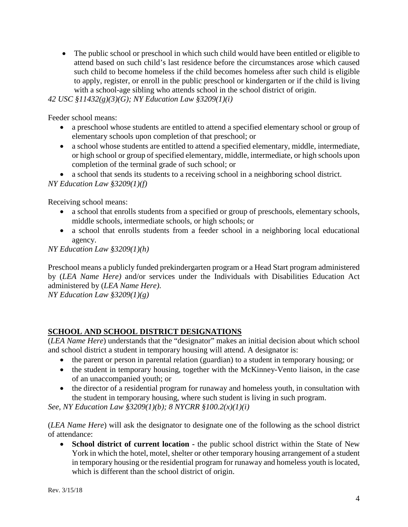• The public school or preschool in which such child would have been entitled or eligible to attend based on such child's last residence before the circumstances arose which caused such child to become homeless if the child becomes homeless after such child is eligible to apply, register, or enroll in the public preschool or kindergarten or if the child is living with a school-age sibling who attends school in the school district of origin.

*42 USC §11432(g)(3)(G); NY Education Law §3209(1)(i)*

Feeder school means:

- a preschool whose students are entitled to attend a specified elementary school or group of elementary schools upon completion of that preschool; or
- a school whose students are entitled to attend a specified elementary, middle, intermediate, or high school or group of specified elementary, middle, intermediate, or high schools upon completion of the terminal grade of such school; or
- a school that sends its students to a receiving school in a neighboring school district.

*NY Education Law §3209(1)(f)*

Receiving school means:

- a school that enrolls students from a specified or group of preschools, elementary schools, middle schools, intermediate schools, or high schools; or
- a school that enrolls students from a feeder school in a neighboring local educational agency.

*NY Education Law §3209(1)(h)*

Preschool means a publicly funded prekindergarten program or a Head Start program administered by (*LEA Name Here)* and/or services under the Individuals with Disabilities Education Act administered by (*LEA Name Here)*.

*NY Education Law §3209(1)(g)*

### **SCHOOL AND SCHOOL DISTRICT DESIGNATIONS**

(*LEA Name Here*) understands that the "designator" makes an initial decision about which school and school district a student in temporary housing will attend. A designator is:

- the parent or person in parental relation (guardian) to a student in temporary housing; or
- the student in temporary housing, together with the McKinney-Vento liaison, in the case of an unaccompanied youth; or
- the director of a residential program for runaway and homeless youth, in consultation with the student in temporary housing, where such student is living in such program.

*See, NY Education Law §3209(1)(b); 8 NYCRR §100.2(x)(1)(i)*

(*LEA Name Here*) will ask the designator to designate one of the following as the school district of attendance:

• **School district of current location -** the public school district within the State of New York in which the hotel, motel, shelter or other temporary housing arrangement of a student in temporary housing or the residential program for runaway and homeless youth is located, which is different than the school district of origin.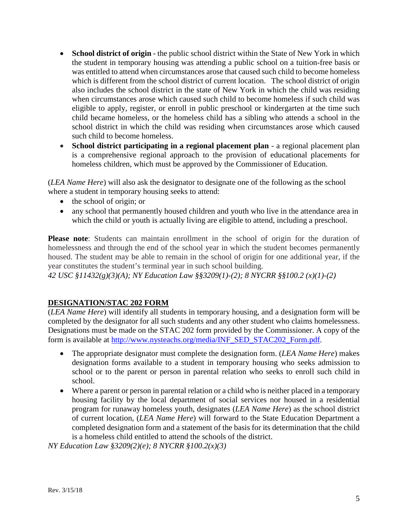- **School district of origin** the public school district within the State of New York in which the student in temporary housing was attending a public school on a tuition-free basis or was entitled to attend when circumstances arose that caused such child to become homeless which is different from the school district of current location. The school district of origin also includes the school district in the state of New York in which the child was residing when circumstances arose which caused such child to become homeless if such child was eligible to apply, register, or enroll in public preschool or kindergarten at the time such child became homeless, or the homeless child has a sibling who attends a school in the school district in which the child was residing when circumstances arose which caused such child to become homeless.
- **School district participating in a regional placement plan** a regional placement plan is a comprehensive regional approach to the provision of educational placements for homeless children, which must be approved by the Commissioner of Education.

(*LEA Name Here*) will also ask the designator to designate one of the following as the school where a student in temporary housing seeks to attend:

- the school of origin; or
- any school that permanently housed children and youth who live in the attendance area in which the child or youth is actually living are eligible to attend, including a preschool.

**Please note**: Students can maintain enrollment in the school of origin for the duration of homelessness and through the end of the school year in which the student becomes permanently housed. The student may be able to remain in the school of origin for one additional year, if the year constitutes the student's terminal year in such school building.

*42 USC §11432(g)(3)(A); NY Education Law §§3209(1)-(2); 8 NYCRR §§100.2 (x)(1)-(2)*

#### **DESIGNATION/STAC 202 FORM**

(*LEA Name Here*) will identify all students in temporary housing, and a designation form will be completed by the designator for all such students and any other student who claims homelessness. Designations must be made on the STAC 202 form provided by the Commissioner. A copy of the form is available at [http://www.nysteachs.org/media/INF\\_SED\\_STAC202\\_Form.pdf.](http://www.nysteachs.org/media/INF_SED_STAC202_Form.pdf)

- The appropriate designator must complete the designation form. (*LEA Name Here*) makes designation forms available to a student in temporary housing who seeks admission to school or to the parent or person in parental relation who seeks to enroll such child in school.
- Where a parent or person in parental relation or a child who is neither placed in a temporary housing facility by the local department of social services nor housed in a residential program for runaway homeless youth, designates (*LEA Name Here*) as the school district of current location, (*LEA Name Here*) will forward to the State Education Department a completed designation form and a statement of the basis for its determination that the child is a homeless child entitled to attend the schools of the district.

*NY Education Law §3209(2)(e); 8 NYCRR §100.2(x)(3)*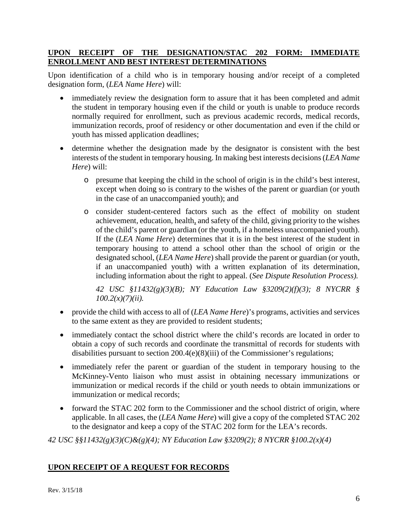#### **UPON RECEIPT OF THE DESIGNATION/STAC 202 FORM: IMMEDIATE ENROLLMENT AND BEST INTEREST DETERMINATIONS**

Upon identification of a child who is in temporary housing and/or receipt of a completed designation form, (*LEA Name Here*) will:

- immediately review the designation form to assure that it has been completed and admit the student in temporary housing even if the child or youth is unable to produce records normally required for enrollment, such as previous academic records, medical records, immunization records, proof of residency or other documentation and even if the child or youth has missed application deadlines;
- determine whether the designation made by the designator is consistent with the best interests of the student in temporary housing. In making best interests decisions (*LEA Name Here*) will:
	- o presume that keeping the child in the school of origin is in the child's best interest, except when doing so is contrary to the wishes of the parent or guardian (or youth in the case of an unaccompanied youth); and
	- o consider student-centered factors such as the effect of mobility on student achievement, education, health, and safety of the child, giving priority to the wishes of the child's parent or guardian (or the youth, if a homeless unaccompanied youth). If the (*LEA Name Here*) determines that it is in the best interest of the student in temporary housing to attend a school other than the school of origin or the designated school, (*LEA Name Here*) shall provide the parent or guardian (or youth, if an unaccompanied youth) with a written explanation of its determination, including information about the right to appeal. (*See Dispute Resolution Process).*

*42 USC §11432(g)(3)(B); NY Education Law §3209(2)(f)(3); 8 NYCRR § 100.2(x)(7)(ii).*

- provide the child with access to all of (*LEA Name Here*)'s programs, activities and services to the same extent as they are provided to resident students;
- immediately contact the school district where the child's records are located in order to obtain a copy of such records and coordinate the transmittal of records for students with disabilities pursuant to section 200.4(e)(8)(iii) of the Commissioner's regulations;
- immediately refer the parent or guardian of the student in temporary housing to the McKinney-Vento liaison who must assist in obtaining necessary immunizations or immunization or medical records if the child or youth needs to obtain immunizations or immunization or medical records;
- forward the STAC 202 form to the Commissioner and the school district of origin, where applicable. In all cases, the (*LEA Name Here*) will give a copy of the completed STAC 202 to the designator and keep a copy of the STAC 202 form for the LEA's records.

*42 USC §§11432(g)(3)(C)&(g)(4); NY Education Law §3209(2); 8 NYCRR §100.2(x)(4)*

## **UPON RECEIPT OF A REQUEST FOR RECORDS**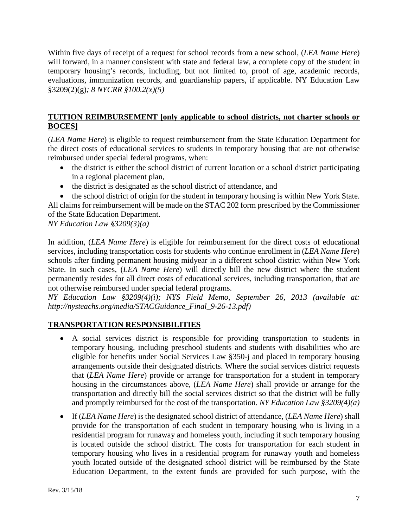Within five days of receipt of a request for school records from a new school, (*LEA Name Here*) will forward, in a manner consistent with state and federal law, a complete copy of the student in temporary housing's records, including, but not limited to, proof of age, academic records, evaluations, immunization records, and guardianship papers, if applicable. NY Education Law §3209(2)(g)*; 8 NYCRR §100.2(x)(5)*

### **TUITION REIMBURSEMENT [only applicable to school districts, not charter schools or BOCES]**

(*LEA Name Here*) is eligible to request reimbursement from the State Education Department for the direct costs of educational services to students in temporary housing that are not otherwise reimbursed under special federal programs, when:

- the district is either the school district of current location or a school district participating in a regional placement plan,
- the district is designated as the school district of attendance, and

• the school district of origin for the student in temporary housing is within New York State. All claims for reimbursement will be made on the STAC 202 form prescribed by the Commissioner of the State Education Department.

*NY Education Law §3209(3)(a)*

In addition, (*LEA Name Here*) is eligible for reimbursement for the direct costs of educational services, including transportation costs for students who continue enrollment in (*LEA Name Here*) schools after finding permanent housing midyear in a different school district within New York State. In such cases, (*LEA Name Here*) will directly bill the new district where the student permanently resides for all direct costs of educational services, including transportation, that are not otherwise reimbursed under special federal programs.

*NY Education Law §3209(4)(i); NYS Field Memo, September 26, 2013 (available at: http://nysteachs.org/media/STACGuidance\_Final\_9-26-13.pdf)* 

# **TRANSPORTATION RESPONSIBILITIES**

- A social services district is responsible for providing transportation to students in temporary housing, including preschool students and students with disabilities who are eligible for benefits under Social Services Law §350-j and placed in temporary housing arrangements outside their designated districts. Where the social services district requests that (*LEA Name Here*) provide or arrange for transportation for a student in temporary housing in the circumstances above, (*LEA Name Here*) shall provide or arrange for the transportation and directly bill the social services district so that the district will be fully and promptly reimbursed for the cost of the transportation. *NY Education Law §3209(4)(a)*
- If (*LEA Name Here*) is the designated school district of attendance, (*LEA Name Here*) shall provide for the transportation of each student in temporary housing who is living in a residential program for runaway and homeless youth, including if such temporary housing is located outside the school district. The costs for transportation for each student in temporary housing who lives in a residential program for runaway youth and homeless youth located outside of the designated school district will be reimbursed by the State Education Department, to the extent funds are provided for such purpose, with the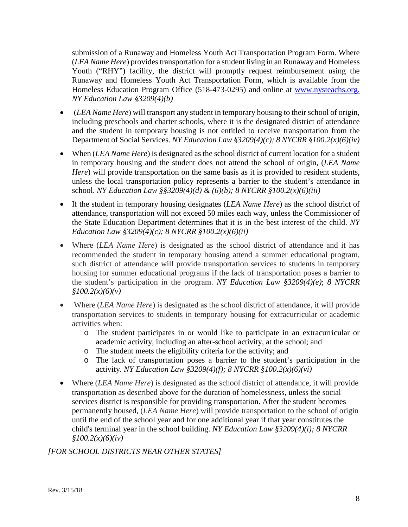submission of a Runaway and Homeless Youth Act Transportation Program Form. Where (*LEA Name Here*) provides transportation for a student living in an Runaway and Homeless Youth ("RHY") facility, the district will promptly request reimbursement using the Runaway and Homeless Youth Act Transportation Form, which is available from the Homeless Education Program Office (518-473-0295) and online at [www.nysteachs.org.](http://www.nysteachs.org/) *NY Education Law §3209(4)(b)*

- (*LEA Name Here*) will transport any student in temporary housing to their school of origin, including preschools and charter schools, where it is the designated district of attendance and the student in temporary housing is not entitled to receive transportation from the Department of Social Services. *NY Education Law §3209(4)(c); 8 NYCRR §100.2(x)(6)(iv)*
- When (*LEA Name Here*) is designated as the school district of current location for a student in temporary housing and the student does not attend the school of origin, (*LEA Name Here*) will provide transportation on the same basis as it is provided to resident students, unless the local transportation policy represents a barrier to the student's attendance in school. *NY Education Law §§3209(4)(d) & (6)(b); 8 NYCRR §100.2(x)(6)(iii)*
- If the student in temporary housing designates *(LEA Name Here)* as the school district of attendance, transportation will not exceed 50 miles each way, unless the Commissioner of the State Education Department determines that it is in the best interest of the child. *NY Education Law §3209(4)(c); 8 NYCRR §100.2(x)(6)(ii)*
- Where *(LEA Name Here)* is designated as the school district of attendance and it has recommended the student in temporary housing attend a summer educational program, such district of attendance will provide transportation services to students in temporary housing for summer educational programs if the lack of transportation poses a barrier to the student's participation in the program. *NY Education Law §3209(4)(e)*; *8 NYCRR §100.2(x)(6)(v)*
- Where *(LEA Name Here)* is designated as the school district of attendance, it will provide transportation services to students in temporary housing for extracurricular or academic activities when:
	- o The student participates in or would like to participate in an extracurricular or academic activity, including an after-school activity, at the school; and
	- o The student meets the eligibility criteria for the activity; and
	- The lack of transportation poses a barrier to the student's participation in the activity. *NY Education Law §3209(4)(f); 8 NYCRR §100.2(x)(6)(vi)*
- Where (*LEA Name Here*) is designated as the school district of attendance, it will provide transportation as described above for the duration of homelessness, unless the social services district is responsible for providing transportation. After the student becomes permanently housed, (*LEA Name Here*) will provide transportation to the school of origin until the end of the school year and for one additional year if that year constitutes the child's terminal year in the school building. *NY Education Law §3209(4)(i); 8 NYCRR §100.2(x)(6)(iv)*

## *[FOR SCHOOL DISTRICTS NEAR OTHER STATES]*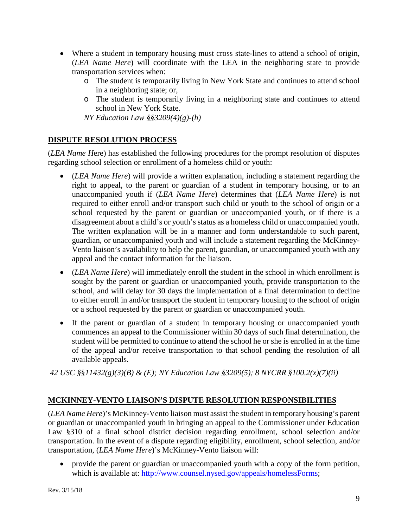- Where a student in temporary housing must cross state-lines to attend a school of origin, (*LEA Name Here*) will coordinate with the LEA in the neighboring state to provide transportation services when:
	- o The student is temporarily living in New York State and continues to attend school in a neighboring state; or,
	- o The student is temporarily living in a neighboring state and continues to attend school in New York State.

*NY Education Law §§3209(4)(g)-(h)*

### **DISPUTE RESOLUTION PROCESS**

(*LEA Name H*ere) has established the following procedures for the prompt resolution of disputes regarding school selection or enrollment of a homeless child or youth:

- (*LEA Name Here*) will provide a written explanation, including a statement regarding the right to appeal, to the parent or guardian of a student in temporary housing, or to an unaccompanied youth if (*LEA Name Here*) determines that (*LEA Name Here*) is not required to either enroll and/or transport such child or youth to the school of origin or a school requested by the parent or guardian or unaccompanied youth, or if there is a disagreement about a child's or youth's status as a homeless child or unaccompanied youth. The written explanation will be in a manner and form understandable to such parent, guardian, or unaccompanied youth and will include a statement regarding the McKinney-Vento liaison's availability to help the parent, guardian, or unaccompanied youth with any appeal and the contact information for the liaison.
- (*LEA Name Here*) will immediately enroll the student in the school in which enrollment is sought by the parent or guardian or unaccompanied youth, provide transportation to the school, and will delay for 30 days the implementation of a final determination to decline to either enroll in and/or transport the student in temporary housing to the school of origin or a school requested by the parent or guardian or unaccompanied youth.
- If the parent or guardian of a student in temporary housing or unaccompanied youth commences an appeal to the Commissioner within 30 days of such final determination, the student will be permitted to continue to attend the school he or she is enrolled in at the time of the appeal and/or receive transportation to that school pending the resolution of all available appeals.

*42 USC §*§*11432(g)(3)(B) & (E); NY Education Law §3209(5); 8 NYCRR §100.2(x)(7)(ii)*

## **MCKINNEY-VENTO LIAISON'S DISPUTE RESOLUTION RESPONSIBILITIES**

(*LEA Name Here*)'s McKinney-Vento liaison must assist the student in temporary housing's parent or guardian or unaccompanied youth in bringing an appeal to the Commissioner under Education Law §310 of a final school district decision regarding enrollment, school selection and/or transportation. In the event of a dispute regarding eligibility, enrollment, school selection, and/or transportation, (*LEA Name Here*)'s McKinney-Vento liaison will:

• provide the parent or guardian or unaccompanied youth with a copy of the form petition, which is available at: [http://www.counsel.nysed.gov/appeals/homelessForms;](http://www.counsel.nysed.gov/appeals/homelessForms)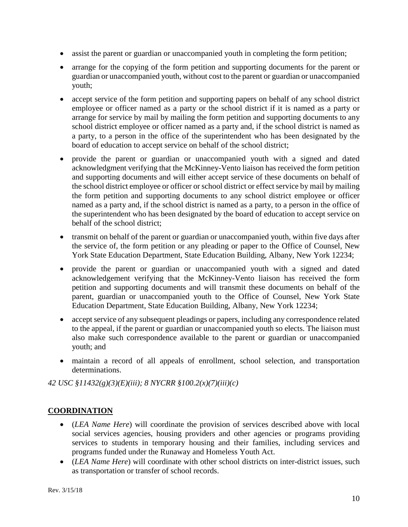- assist the parent or guardian or unaccompanied youth in completing the form petition;
- arrange for the copying of the form petition and supporting documents for the parent or guardian or unaccompanied youth, without cost to the parent or guardian or unaccompanied youth;
- accept service of the form petition and supporting papers on behalf of any school district employee or officer named as a party or the school district if it is named as a party or arrange for service by mail by mailing the form petition and supporting documents to any school district employee or officer named as a party and, if the school district is named as a party, to a person in the office of the superintendent who has been designated by the board of education to accept service on behalf of the school district;
- provide the parent or guardian or unaccompanied youth with a signed and dated acknowledgment verifying that the McKinney-Vento liaison has received the form petition and supporting documents and will either accept service of these documents on behalf of the school district employee or officer or school district or effect service by mail by mailing the form petition and supporting documents to any school district employee or officer named as a party and, if the school district is named as a party, to a person in the office of the superintendent who has been designated by the board of education to accept service on behalf of the school district;
- transmit on behalf of the parent or guardian or unaccompanied youth, within five days after the service of, the form petition or any pleading or paper to the Office of Counsel, New York State Education Department, State Education Building, Albany, New York 12234;
- provide the parent or guardian or unaccompanied youth with a signed and dated acknowledgement verifying that the McKinney-Vento liaison has received the form petition and supporting documents and will transmit these documents on behalf of the parent, guardian or unaccompanied youth to the Office of Counsel, New York State Education Department, State Education Building, Albany, New York 12234;
- accept service of any subsequent pleadings or papers, including any correspondence related to the appeal, if the parent or guardian or unaccompanied youth so elects. The liaison must also make such correspondence available to the parent or guardian or unaccompanied youth; and
- maintain a record of all appeals of enrollment, school selection, and transportation determinations.

*42 USC §11432(g)(3)(E)(iii); 8 NYCRR §100.2(x)(7)(iii)(c)*

# **COORDINATION**

- (*LEA Name Here*) will coordinate the provision of services described above with local social services agencies, housing providers and other agencies or programs providing services to students in temporary housing and their families, including services and programs funded under the Runaway and Homeless Youth Act.
- (*LEA Name Here*) will coordinate with other school districts on inter-district issues, such as transportation or transfer of school records.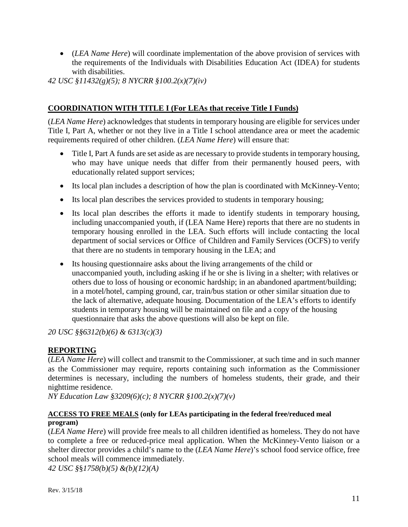• (*LEA Name Here*) will coordinate implementation of the above provision of services with the requirements of the Individuals with Disabilities Education Act (IDEA) for students with disabilities.

*42 USC §11432(g)(5); 8 NYCRR §100.2(x)(7)(iv)*

#### **COORDINATION WITH TITLE I (For LEAs that receive Title I Funds)**

(*LEA Name Here*) acknowledges that students in temporary housing are eligible for services under Title I, Part A, whether or not they live in a Title I school attendance area or meet the academic requirements required of other children. (*LEA Name Here*) will ensure that:

- Title I, Part A funds are set aside as are necessary to provide students in temporary housing, who may have unique needs that differ from their permanently housed peers, with educationally related support services;
- Its local plan includes a description of how the plan is coordinated with McKinney-Vento;
- Its local plan describes the services provided to students in temporary housing;
- Its local plan describes the efforts it made to identify students in temporary housing, including unaccompanied youth, if (LEA Name Here) reports that there are no students in temporary housing enrolled in the LEA. Such efforts will include contacting the local department of social services or Office of Children and Family Services (OCFS) to verify that there are no students in temporary housing in the LEA; and
- Its housing questionnaire asks about the living arrangements of the child or unaccompanied youth, including asking if he or she is living in a shelter; with relatives or others due to loss of housing or economic hardship; in an abandoned apartment/building; in a motel/hotel, camping ground, car, train/bus station or other similar situation due to the lack of alternative, adequate housing. Documentation of the LEA's efforts to identify students in temporary housing will be maintained on file and a copy of the housing questionnaire that asks the above questions will also be kept on file.

*20 USC §§6312(b)(6) & 6313(c)(3)*

## **REPORTING**

(*LEA Name Here*) will collect and transmit to the Commissioner, at such time and in such manner as the Commissioner may require, reports containing such information as the Commissioner determines is necessary, including the numbers of homeless students, their grade, and their nighttime residence.

*NY Education Law §3209(6)(c); 8 NYCRR §100.2(x)(7)(v)*

#### **ACCESS TO FREE MEALS (only for LEAs participating in the federal free/reduced meal program)**

(*LEA Name Here*) will provide free meals to all children identified as homeless. They do not have to complete a free or reduced-price meal application. When the McKinney-Vento liaison or a shelter director provides a child's name to the (*LEA Name Here*)'s school food service office, free school meals will commence immediately.

*42 USC §*§*1758(b)(5) &(b)(12)(A)*